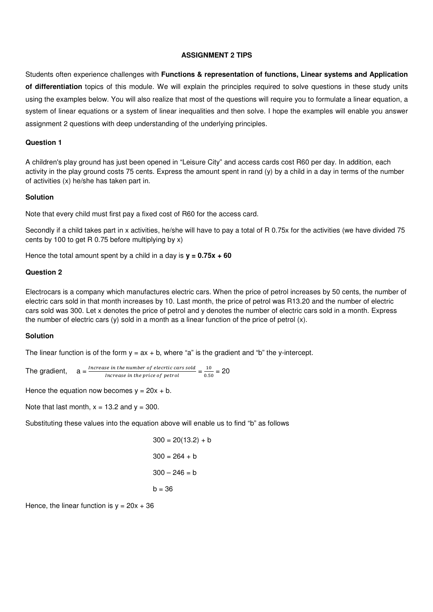#### **ASSIGNMENT 2 TIPS**

Students often experience challenges with **Functions & representation of functions, Linear systems and Application of differentiation** topics of this module. We will explain the principles required to solve questions in these study units using the examples below. You will also realize that most of the questions will require you to formulate a linear equation, a system of linear equations or a system of linear inequalities and then solve. I hope the examples will enable you answer assignment 2 questions with deep understanding of the underlying principles.

#### **Question 1**

A children's play ground has just been opened in "Leisure City" and access cards cost R60 per day. In addition, each activity in the play ground costs 75 cents. Express the amount spent in rand (y) by a child in a day in terms of the number of activities (x) he/she has taken part in.

#### **Solution**

Note that every child must first pay a fixed cost of R60 for the access card.

Secondly if a child takes part in x activities, he/she will have to pay a total of R 0.75x for the activities (we have divided 75 cents by 100 to get R 0.75 before multiplying by x)

Hence the total amount spent by a child in a day is **y = 0.75x + 60**

#### **Question 2**

Electrocars is a company which manufactures electric cars. When the price of petrol increases by 50 cents, the number of electric cars sold in that month increases by 10. Last month, the price of petrol was R13.20 and the number of electric cars sold was 300. Let x denotes the price of petrol and y denotes the number of electric cars sold in a month. Express the number of electric cars (y) sold in a month as a linear function of the price of petrol (x).

#### **Solution**

The linear function is of the form  $y = ax + b$ , where "a" is the gradient and "b" the y-intercept.

The gradient, crease in the number of elecrtic cars sold se in the number of elecrtic cars sold<br>Increase in the price of petrol  $\frac{10}{0.56}$  $\frac{10}{0.50}$  = 20

Hence the equation now becomes  $y = 20x + b$ .

Note that last month,  $x = 13.2$  and  $y = 300$ .

Substituting these values into the equation above will enable us to find "b" as follows

$$
300 = 20(13.2) + b
$$

$$
300 = 264 + b
$$

$$
300 - 246 = b
$$

$$
b = 36
$$

Hence, the linear function is  $v = 20x + 36$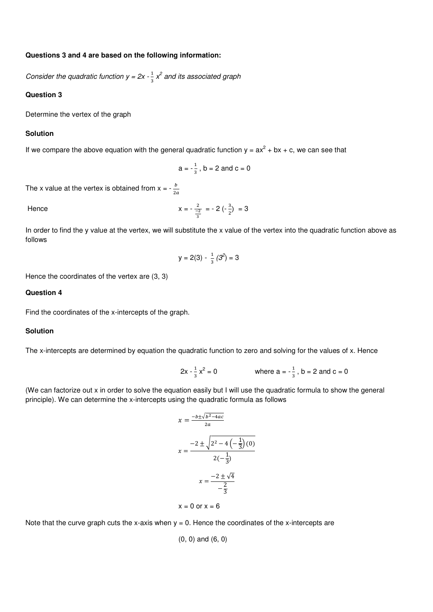#### **Questions 3 and 4 are based on the following information:**

Consider the quadratic function  $y = 2x - \frac{1}{3}x^2$  and its associated graph

# **Question 3**

Determine the vertex of the graph

## **Solution**

If we compare the above equation with the general quadratic function  $y = ax^2 + bx + c$ , we can see that

$$
a = -\frac{1}{3}
$$
,  $b = 2$  and  $c = 0$ 

The x value at the vertex is obtained from  $x = -\frac{b}{2a}$ 

Hence 
$$
x = -\frac{2}{\frac{-2}{3}} = -2(-\frac{3}{2}) = 3
$$

In order to find the y value at the vertex, we will substitute the x value of the vertex into the quadratic function above as follows

$$
y = 2(3) - \frac{1}{3}(3^2) = 3
$$

Hence the coordinates of the vertex are (3, 3)

# **Question 4**

Find the coordinates of the x-intercepts of the graph.

# **Solution**

The x-intercepts are determined by equation the quadratic function to zero and solving for the values of x. Hence

$$
2x - \frac{1}{3}x^2 = 0
$$
 where  $a = -\frac{1}{3}$ ,  $b = 2$  and  $c = 0$ 

(We can factorize out x in order to solve the equation easily but I will use the quadratic formula to show the general principle). We can determine the x-intercepts using the quadratic formula as follows

$$
x = \frac{-b \pm \sqrt{b^2 - 4ac}}{2a}
$$

$$
x = \frac{-2 \pm \sqrt{2^2 - 4(-\frac{1}{3})(0)}}{2(-\frac{1}{3})}
$$

$$
x = \frac{-2 \pm \sqrt{4}}{-\frac{2}{3}}
$$

$$
x = 0 \text{ or } x = 6
$$

Note that the curve graph cuts the x-axis when  $y = 0$ . Hence the coordinates of the x-intercepts are

$$
(0, 0)
$$
 and  $(6, 0)$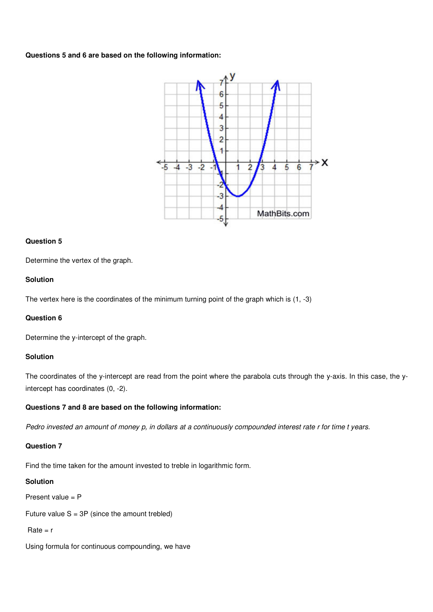# **Questions 5 and 6 are based on the following information:**



#### **Question 5**

Determine the vertex of the graph.

# **Solution**

The vertex here is the coordinates of the minimum turning point of the graph which is (1, -3)

# **Question 6**

Determine the y-intercept of the graph.

# **Solution**

The coordinates of the y-intercept are read from the point where the parabola cuts through the y-axis. In this case, the yintercept has coordinates (0, -2).

# **Questions 7 and 8 are based on the following information:**

Pedro invested an amount of money p, in dollars at a continuously compounded interest rate r for time t years.

## **Question 7**

Find the time taken for the amount invested to treble in logarithmic form.

# **Solution**

Present value = P

Future value  $S = 3P$  (since the amount trebled)

```
Rate = r
```
Using formula for continuous compounding, we have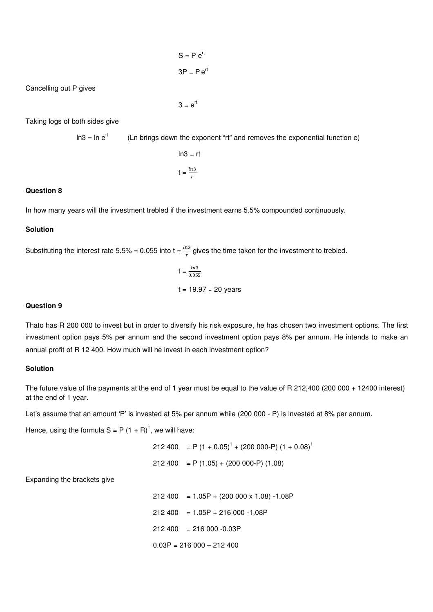$$
S = P e^{rt}
$$

$$
3P = P e^{rt}
$$

Cancelling out P gives

 $3 = e^{rt}$ 

Taking logs of both sides give

 $\ln 3 = \ln e^{rt}$  (Ln brings down the exponent "rt" and removes the exponential function e)

$$
\ln 3 = rt
$$

$$
t = \frac{\ln 3}{r}
$$

# **Question 8**

In how many years will the investment trebled if the investment earns 5.5% compounded continuously.

# **Solution**

Substituting the interest rate 5.5% = 0.055 into t =  $\frac{ln3}{2}$  $rac{u}{r}$  gives the time taken for the investment to trebled.

$$
t = \frac{ln3}{0.055}
$$
  
t = 19.97 ~ 20 years

## **Question 9**

Thato has R 200 000 to invest but in order to diversify his risk exposure, he has chosen two investment options. The first investment option pays 5% per annum and the second investment option pays 8% per annum. He intends to make an annual profit of R 12 400. How much will he invest in each investment option?

#### **Solution**

The future value of the payments at the end of 1 year must be equal to the value of R 212,400 (200 000 + 12400 interest) at the end of 1 year.

Let's assume that an amount 'P' is invested at 5% per annum while (200 000 - P) is invested at 8% per annum.

Hence, using the formula  $S = P (1 + R)^T$ , we will have:

 $212\,400 = P(1 + 0.05)^1 + (200\,000 - P)(1 + 0.08)^1$ 

$$
212\,400 = P(1.05) + (200\,000 - P)(1.08)
$$

Expanding the brackets give

 $212 400 = 1.05P + (200 000 x 1.08) -1.08P$  $212 400 = 1.05P + 216 000 - 1.08P$  $212\,400 = 216\,000 - 0.03P$  $0.03P = 216000 - 212400$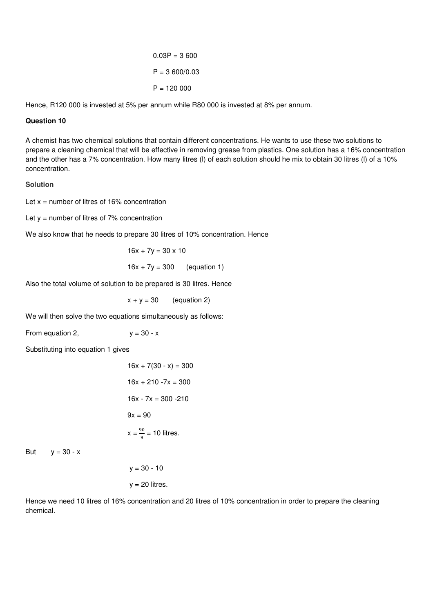$0.03P = 3600$  $P = 3,600/0.03$  $P = 120000$ 

Hence, R120 000 is invested at 5% per annum while R80 000 is invested at 8% per annum.

# **Question 10**

A chemist has two chemical solutions that contain different concentrations. He wants to use these two solutions to prepare a cleaning chemical that will be effective in removing grease from plastics. One solution has a 16% concentration and the other has a 7% concentration. How many litres (l) of each solution should he mix to obtain 30 litres (l) of a 10% concentration.

## **Solution**

Let  $x =$  number of litres of 16% concentration

Let  $y =$  number of litres of 7% concentration

We also know that he needs to prepare 30 litres of 10% concentration. Hence

$$
16x + 7y = 30 \times 10
$$
  

$$
16x + 7y = 300
$$
 (equation 1)

Also the total volume of solution to be prepared is 30 litres. Hence

 $x + y = 30$  (equation 2)

We will then solve the two equations simultaneously as follows:

From equation 2,  $y = 30 - x$ 

Substituting into equation 1 gives

$$
16x + 7(30 - x) = 300
$$
  
\n
$$
16x + 210 - 7x = 300
$$
  
\n
$$
16x - 7x = 300 - 210
$$
  
\n
$$
9x = 90
$$
  
\n
$$
x = \frac{90}{9} = 10
$$
 litres.

But  $y = 30 - x$ 

 $y = 30 - 10$  $y = 20$  litres.

Hence we need 10 litres of 16% concentration and 20 litres of 10% concentration in order to prepare the cleaning chemical.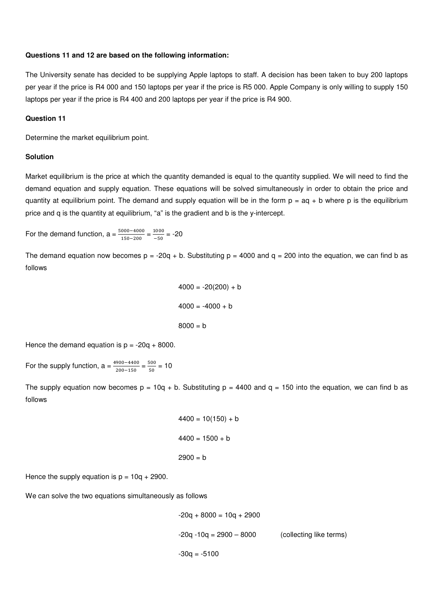## **Questions 11 and 12 are based on the following information:**

The University senate has decided to be supplying Apple laptops to staff. A decision has been taken to buy 200 laptops per year if the price is R4 000 and 150 laptops per year if the price is R5 000. Apple Company is only willing to supply 150 laptops per year if the price is R4 400 and 200 laptops per year if the price is R4 900.

#### **Question 11**

Determine the market equilibrium point.

## **Solution**

Market equilibrium is the price at which the quantity demanded is equal to the quantity supplied. We will need to find the demand equation and supply equation. These equations will be solved simultaneously in order to obtain the price and quantity at equilibrium point. The demand and supply equation will be in the form  $p = aq + b$  where p is the equilibrium price and q is the quantity at equilibrium, "a" is the gradient and b is the y-intercept.

For the demand function,  $a = \frac{5000 - 4000}{150 - 200} = \frac{1000}{-50}$  $\frac{1000}{-50}$  = -20

The demand equation now becomes  $p = -20q + b$ . Substituting  $p = 4000$  and  $q = 200$  into the equation, we can find b as follows

```
4000 = -20(200) + b4000 = -4000 + b8000 = b
```
Hence the demand equation is  $p = -20q + 8000$ .

For the supply function,  $a = \frac{4900 - 4400}{200 - 150} = \frac{500}{50}$  $\frac{300}{50}$  = 10

The supply equation now becomes  $p = 10q + b$ . Substituting  $p = 4400$  and  $q = 150$  into the equation, we can find b as follows

```
4400 = 10(150) + b4400 = 1500 + b2900 = b
```
Hence the supply equation is  $p = 10q + 2900$ .

We can solve the two equations simultaneously as follows

$$
-20q + 8000 = 10q + 2900
$$
  

$$
-20q - 10q = 2900 - 8000
$$
 (collecting like terms)  

$$
-30q = -5100
$$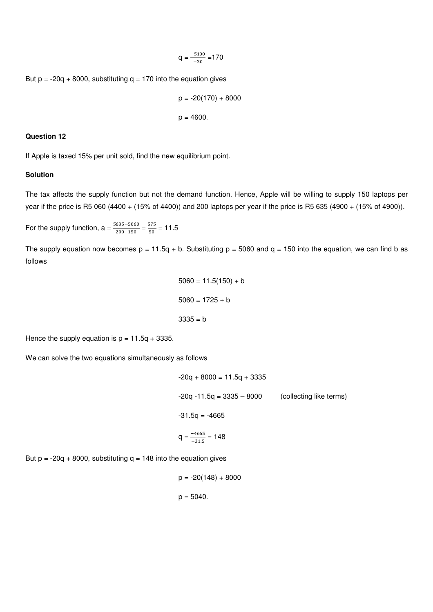$$
q = \frac{-5100}{-30} = 170
$$

But  $p = -20q + 8000$ , substituting  $q = 170$  into the equation gives

$$
p = -20(170) + 8000
$$
  

$$
p = 4600.
$$

#### **Question 12**

If Apple is taxed 15% per unit sold, find the new equilibrium point.

# **Solution**

The tax affects the supply function but not the demand function. Hence, Apple will be willing to supply 150 laptops per year if the price is R5 060 (4400 + (15% of 4400)) and 200 laptops per year if the price is R5 635 (4900 + (15% of 4900)).

For the supply function,  $a = \frac{5635 - 5060}{200 - 150} = \frac{575}{50}$  $\frac{375}{50}$  = 11.5

The supply equation now becomes  $p = 11.5q + b$ . Substituting  $p = 5060$  and  $q = 150$  into the equation, we can find b as follows

$$
5060 = 11.5(150) + b
$$

$$
5060 = 1725 + b
$$

$$
3335 = b
$$

Hence the supply equation is  $p = 11.5q + 3335$ .

We can solve the two equations simultaneously as follows

$$
-20q + 8000 = 11.5q + 3335
$$
  

$$
-20q - 11.5q = 3335 - 8000
$$
 (collecting like terms)  

$$
-31.5q = -4665
$$
  

$$
q = \frac{-4665}{-31.5} = 148
$$

But  $p = -20q + 8000$ , substituting  $q = 148$  into the equation gives

 $p = -20(148) + 8000$  $p = 5040.$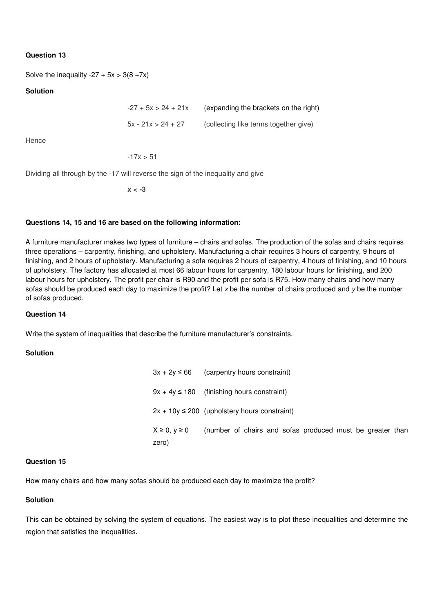# **Question 13**

Solve the inequality  $-27 + 5x > 3(8 + 7x)$ 

# **Solution**

 $-27 + 5x > 24 + 21x$  (expanding the brackets on the right)  $5x - 21x > 24 + 27$  (collecting like terms together give)

Hence

 $-17x > 51$ 

Dividing all through by the -17 will reverse the sign of the inequality and give

**x < -3** 

#### **Questions 14, 15 and 16 are based on the following information:**

A furniture manufacturer makes two types of furniture – chairs and sofas. The production of the sofas and chairs requires three operations – carpentry, finishing, and upholstery. Manufacturing a chair requires 3 hours of carpentry, 9 hours of finishing, and 2 hours of upholstery. Manufacturing a sofa requires 2 hours of carpentry, 4 hours of finishing, and 10 hours of upholstery. The factory has allocated at most 66 labour hours for carpentry, 180 labour hours for finishing, and 200 labour hours for upholstery. The profit per chair is R90 and the profit per sofa is R75. How many chairs and how many sofas should be produced each day to maximize the profit? Let  $x$  be the number of chairs produced and  $y$  be the number of sofas produced.

#### **Question 14**

Write the system of inequalities that describe the furniture manufacturer's constraints.

#### **Solution**

| $3x + 2y \le 66$              | (carpentry hours constraint)                              |
|-------------------------------|-----------------------------------------------------------|
|                               | $9x + 4y \le 180$ (finishing hours constraint)            |
|                               | $2x + 10y \le 200$ (upholstery hours constraint)          |
| $X \geq 0, y \geq 0$<br>zero) | (number of chairs and sofas produced must be greater than |

#### **Question 15**

How many chairs and how many sofas should be produced each day to maximize the profit?

# **Solution**

This can be obtained by solving the system of equations. The easiest way is to plot these inequalities and determine the region that satisfies the inequalities.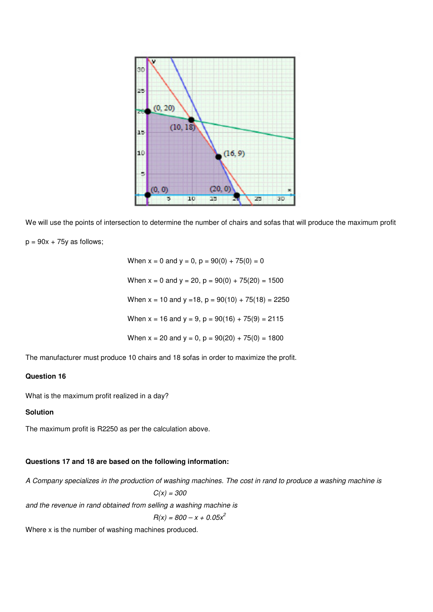

We will use the points of intersection to determine the number of chairs and sofas that will produce the maximum profit  $p = 90x + 75y$  as follows;

When  $x = 0$  and  $y = 0$ ,  $p = 90(0) + 75(0) = 0$ When  $x = 0$  and  $y = 20$ ,  $p = 90(0) + 75(20) = 1500$ When  $x = 10$  and  $y = 18$ ,  $p = 90(10) + 75(18) = 2250$ When  $x = 16$  and  $y = 9$ ,  $p = 90(16) + 75(9) = 2115$ When  $x = 20$  and  $y = 0$ ,  $p = 90(20) + 75(0) = 1800$ 

The manufacturer must produce 10 chairs and 18 sofas in order to maximize the profit.

# **Question 16**

What is the maximum profit realized in a day?

#### **Solution**

The maximum profit is R2250 as per the calculation above.

## **Questions 17 and 18 are based on the following information:**

A Company specializes in the production of washing machines. The cost in rand to produce a washing machine is  $C(x) = 300$ 

and the revenue in rand obtained from selling a washing machine is

 $R(x) = 800 - x + 0.05x^2$ 

Where x is the number of washing machines produced.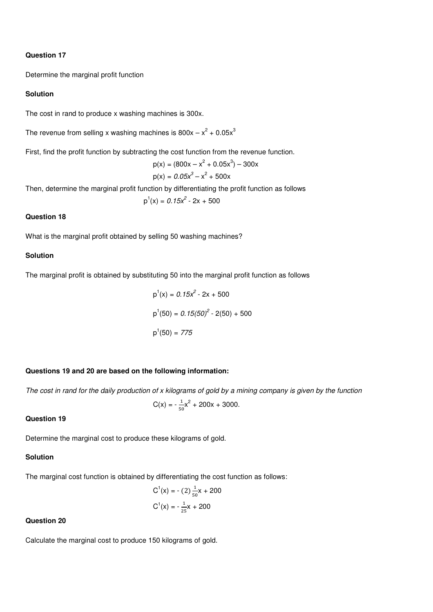#### **Question 17**

Determine the marginal profit function

# **Solution**

The cost in rand to produce x washing machines is 300x.

The revenue from selling x washing machines is  $800x - x^2 + 0.05x^3$ 

First, find the profit function by subtracting the cost function from the revenue function.

$$
p(x) = (800x - x2 + 0.05x3) - 300x
$$
  

$$
p(x) = 0.05x3 - x2 + 500x
$$

Then, determine the marginal profit function by differentiating the profit function as follows

 $p<sup>1</sup>$  $(x) = 0.15x^{2} - 2x + 500$ 

# **Question 18**

What is the marginal profit obtained by selling 50 washing machines?

#### **Solution**

The marginal profit is obtained by substituting 50 into the marginal profit function as follows

$$
p1(x) = 0.15x2 - 2x + 500
$$
  

$$
p1(50) = 0.15(50)2 - 2(50) + 500
$$
  

$$
p1(50) = 775
$$

#### **Questions 19 and 20 are based on the following information:**

The cost in rand for the daily production of x kilograms of gold by a mining company is given by the function

$$
C(x) = -\frac{1}{50}x^2 + 200x + 3000.
$$

# **Question 19**

Determine the marginal cost to produce these kilograms of gold.

# **Solution**

The marginal cost function is obtained by differentiating the cost function as follows:

$$
C1(x) = -(2) \frac{1}{50}x + 200
$$

$$
C1(x) = -\frac{1}{25}x + 200
$$

#### **Question 20**

Calculate the marginal cost to produce 150 kilograms of gold.